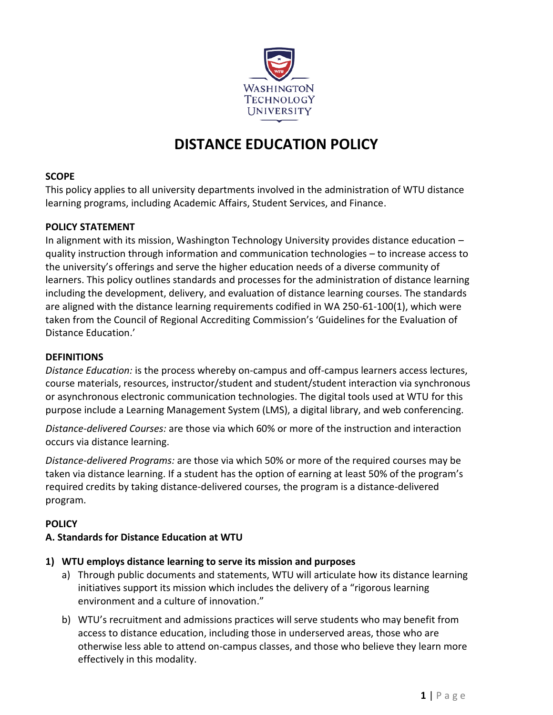

# **DISTANCE EDUCATION POLICY**

## **SCOPE**

This policy applies to all university departments involved in the administration of WTU distance learning programs, including Academic Affairs, Student Services, and Finance.

## **POLICY STATEMENT**

In alignment with its mission, Washington Technology University provides distance education – quality instruction through information and communication technologies – to increase access to the university's offerings and serve the higher education needs of a diverse community of learners. This policy outlines standards and processes for the administration of distance learning including the development, delivery, and evaluation of distance learning courses. The standards are aligned with the distance learning requirements codified in WA 250-61-100(1), which were taken from the Council of Regional Accrediting Commission's 'Guidelines for the Evaluation of Distance Education.'

#### **DEFINITIONS**

*Distance Education:* is the process whereby on-campus and off-campus learners access lectures, course materials, resources, instructor/student and student/student interaction via synchronous or asynchronous electronic communication technologies. The digital tools used at WTU for this purpose include a Learning Management System (LMS), a digital library, and web conferencing.

*Distance-delivered Courses:* are those via which 60% or more of the instruction and interaction occurs via distance learning.

*Distance-delivered Programs:* are those via which 50% or more of the required courses may be taken via distance learning. If a student has the option of earning at least 50% of the program's required credits by taking distance-delivered courses, the program is a distance-delivered program.

## **POLICY**

## **A. Standards for Distance Education at WTU**

## **1) WTU employs distance learning to serve its mission and purposes**

- a) Through public documents and statements, WTU will articulate how its distance learning initiatives support its mission which includes the delivery of a "rigorous learning environment and a culture of innovation."
- b) WTU's recruitment and admissions practices will serve students who may benefit from access to distance education, including those in underserved areas, those who are otherwise less able to attend on-campus classes, and those who believe they learn more effectively in this modality.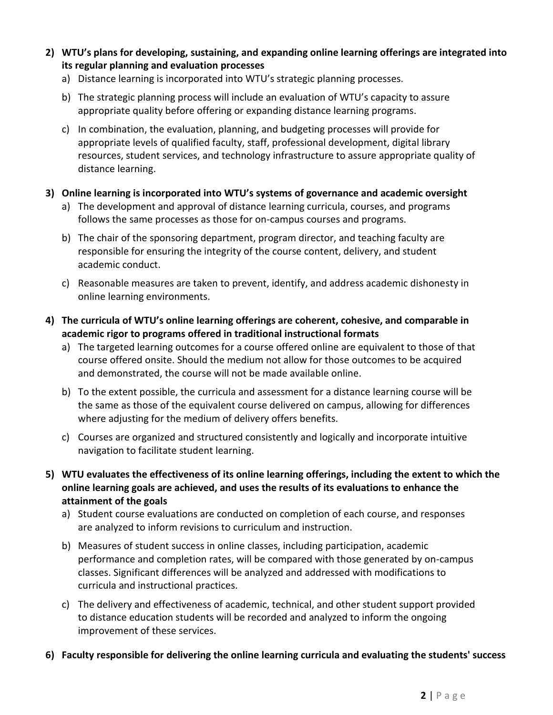- **2) WTU's plans for developing, sustaining, and expanding online learning offerings are integrated into its regular planning and evaluation processes**
	- a) Distance learning is incorporated into WTU's strategic planning processes.
	- b) The strategic planning process will include an evaluation of WTU's capacity to assure appropriate quality before offering or expanding distance learning programs.
	- c) In combination, the evaluation, planning, and budgeting processes will provide for appropriate levels of qualified faculty, staff, professional development, digital library resources, student services, and technology infrastructure to assure appropriate quality of distance learning.
- **3) Online learning is incorporated into WTU's systems of governance and academic oversight**
	- a) The development and approval of distance learning curricula, courses, and programs follows the same processes as those for on-campus courses and programs.
	- b) The chair of the sponsoring department, program director, and teaching faculty are responsible for ensuring the integrity of the course content, delivery, and student academic conduct.
	- c) Reasonable measures are taken to prevent, identify, and address academic dishonesty in online learning environments.
- **4) The curricula of WTU's online learning offerings are coherent, cohesive, and comparable in academic rigor to programs offered in traditional instructional formats**
	- a) The targeted learning outcomes for a course offered online are equivalent to those of that course offered onsite. Should the medium not allow for those outcomes to be acquired and demonstrated, the course will not be made available online.
	- b) To the extent possible, the curricula and assessment for a distance learning course will be the same as those of the equivalent course delivered on campus, allowing for differences where adjusting for the medium of delivery offers benefits.
	- c) Courses are organized and structured consistently and logically and incorporate intuitive navigation to facilitate student learning.
- **5) WTU evaluates the effectiveness of its online learning offerings, including the extent to which the online learning goals are achieved, and uses the results of its evaluations to enhance the attainment of the goals**
	- a) Student course evaluations are conducted on completion of each course, and responses are analyzed to inform revisions to curriculum and instruction.
	- b) Measures of student success in online classes, including participation, academic performance and completion rates, will be compared with those generated by on-campus classes. Significant differences will be analyzed and addressed with modifications to curricula and instructional practices.
	- c) The delivery and effectiveness of academic, technical, and other student support provided to distance education students will be recorded and analyzed to inform the ongoing improvement of these services.
- **6) Faculty responsible for delivering the online learning curricula and evaluating the students' success**